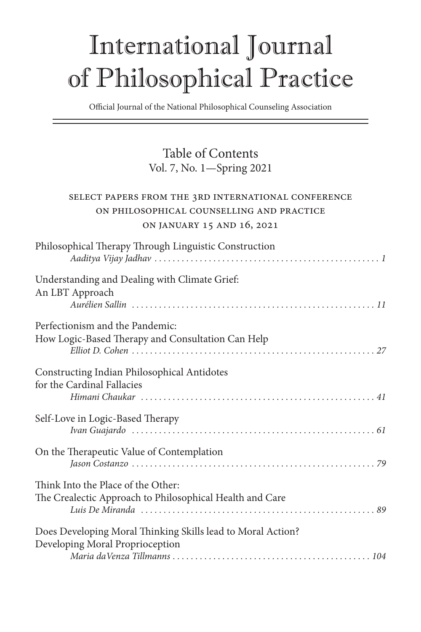## International Journal of Philosophical Practice

Official Journal of the National Philosophical Counseling Association

## Table of Contents Vol. 7, No. 1—Spring 2021

## Select papers from the 3rd International Conference on Philosophical Counselling and Practice on January 15 and 16, 2021

| Philosophical Therapy Through Linguistic Construction                                          |
|------------------------------------------------------------------------------------------------|
| Understanding and Dealing with Climate Grief:<br>An LBT Approach                               |
| Perfectionism and the Pandemic:<br>How Logic-Based Therapy and Consultation Can Help           |
| Constructing Indian Philosophical Antidotes<br>for the Cardinal Fallacies                      |
| Self-Love in Logic-Based Therapy                                                               |
| On the Therapeutic Value of Contemplation                                                      |
| Think Into the Place of the Other:<br>The Crealectic Approach to Philosophical Health and Care |
| Does Developing Moral Thinking Skills lead to Moral Action?<br>Developing Moral Proprioception |